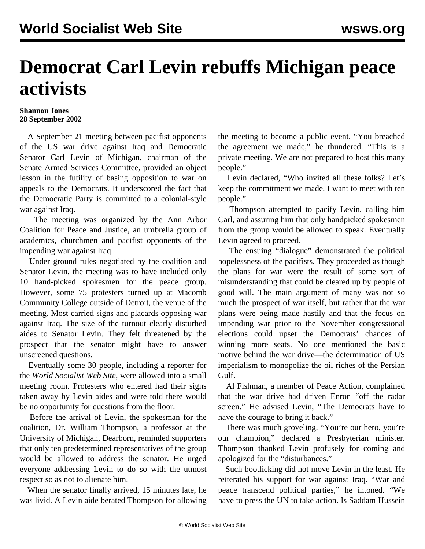## **Democrat Carl Levin rebuffs Michigan peace activists**

## **Shannon Jones 28 September 2002**

 A September 21 meeting between pacifist opponents of the US war drive against Iraq and Democratic Senator Carl Levin of Michigan, chairman of the Senate Armed Services Committee, provided an object lesson in the futility of basing opposition to war on appeals to the Democrats. It underscored the fact that the Democratic Party is committed to a colonial-style war against Iraq.

 The meeting was organized by the Ann Arbor Coalition for Peace and Justice, an umbrella group of academics, churchmen and pacifist opponents of the impending war against Iraq.

 Under ground rules negotiated by the coalition and Senator Levin, the meeting was to have included only 10 hand-picked spokesmen for the peace group. However, some 75 protesters turned up at Macomb Community College outside of Detroit, the venue of the meeting. Most carried signs and placards opposing war against Iraq. The size of the turnout clearly disturbed aides to Senator Levin. They felt threatened by the prospect that the senator might have to answer unscreened questions.

 Eventually some 30 people, including a reporter for the *World Socialist Web Site*, were allowed into a small meeting room. Protesters who entered had their signs taken away by Levin aides and were told there would be no opportunity for questions from the floor.

 Before the arrival of Levin, the spokesman for the coalition, Dr. William Thompson, a professor at the University of Michigan, Dearborn, reminded supporters that only ten predetermined representatives of the group would be allowed to address the senator. He urged everyone addressing Levin to do so with the utmost respect so as not to alienate him.

 When the senator finally arrived, 15 minutes late, he was livid. A Levin aide berated Thompson for allowing the meeting to become a public event. "You breached the agreement we made," he thundered. "This is a private meeting. We are not prepared to host this many people."

 Levin declared, "Who invited all these folks? Let's keep the commitment we made. I want to meet with ten people."

 Thompson attempted to pacify Levin, calling him Carl, and assuring him that only handpicked spokesmen from the group would be allowed to speak. Eventually Levin agreed to proceed.

 The ensuing "dialogue" demonstrated the political hopelessness of the pacifists. They proceeded as though the plans for war were the result of some sort of misunderstanding that could be cleared up by people of good will. The main argument of many was not so much the prospect of war itself, but rather that the war plans were being made hastily and that the focus on impending war prior to the November congressional elections could upset the Democrats' chances of winning more seats. No one mentioned the basic motive behind the war drive—the determination of US imperialism to monopolize the oil riches of the Persian Gulf.

 Al Fishman, a member of Peace Action, complained that the war drive had driven Enron "off the radar screen." He advised Levin, "The Democrats have to have the courage to bring it back."

 There was much groveling. "You're our hero, you're our champion," declared a Presbyterian minister. Thompson thanked Levin profusely for coming and apologized for the "disturbances."

 Such bootlicking did not move Levin in the least. He reiterated his support for war against Iraq. "War and peace transcend political parties," he intoned. "We have to press the UN to take action. Is Saddam Hussein